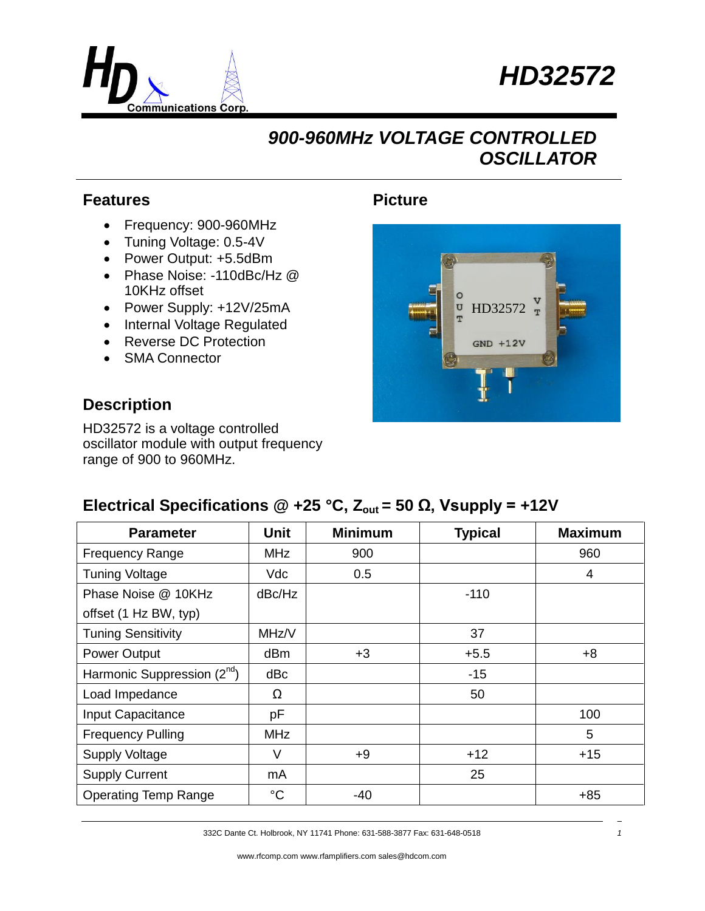



## *900-960MHz VOLTAGE CONTROLLED OSCILLATOR*

#### **Features**

- Frequency: 900-960MHz
- Tuning Voltage: 0.5-4V
- Power Output: +5.5dBm
- Phase Noise: -110dBc/Hz @ 10KHz offset
- Power Supply: +12V/25mA
- Internal Voltage Regulated
- Reverse DC Protection
- SMA Connector

#### **Description**

HD32572 is a voltage controlled oscillator module with output frequency range of 900 to 960MHz.

### **Picture**



### **Electrical Specifications @ +25 °C,**  $Z_{\text{out}}$  **= 50 Ω, Vsupply = +12V**

| <b>Parameter</b>                | <b>Unit</b> | <b>Minimum</b> | <b>Typical</b> | <b>Maximum</b> |
|---------------------------------|-------------|----------------|----------------|----------------|
| <b>Frequency Range</b>          | <b>MHz</b>  | 900            |                | 960            |
| <b>Tuning Voltage</b>           | <b>Vdc</b>  | 0.5            |                | 4              |
| Phase Noise @ 10KHz             | dBc/Hz      |                | $-110$         |                |
| offset (1 Hz BW, typ)           |             |                |                |                |
| <b>Tuning Sensitivity</b>       | MHz/V       |                | 37             |                |
| Power Output                    | dBm         | $+3$           | $+5.5$         | $+8$           |
| Harmonic Suppression $(2^{nd})$ | dBc         |                | $-15$          |                |
| Load Impedance                  | Ω           |                | 50             |                |
| Input Capacitance               | pF          |                |                | 100            |
| <b>Frequency Pulling</b>        | <b>MHz</b>  |                |                | 5              |
| <b>Supply Voltage</b>           | V           | $+9$           | $+12$          | $+15$          |
| <b>Supply Current</b>           | mA          |                | 25             |                |
| <b>Operating Temp Range</b>     | $^{\circ}C$ | -40            |                | $+85$          |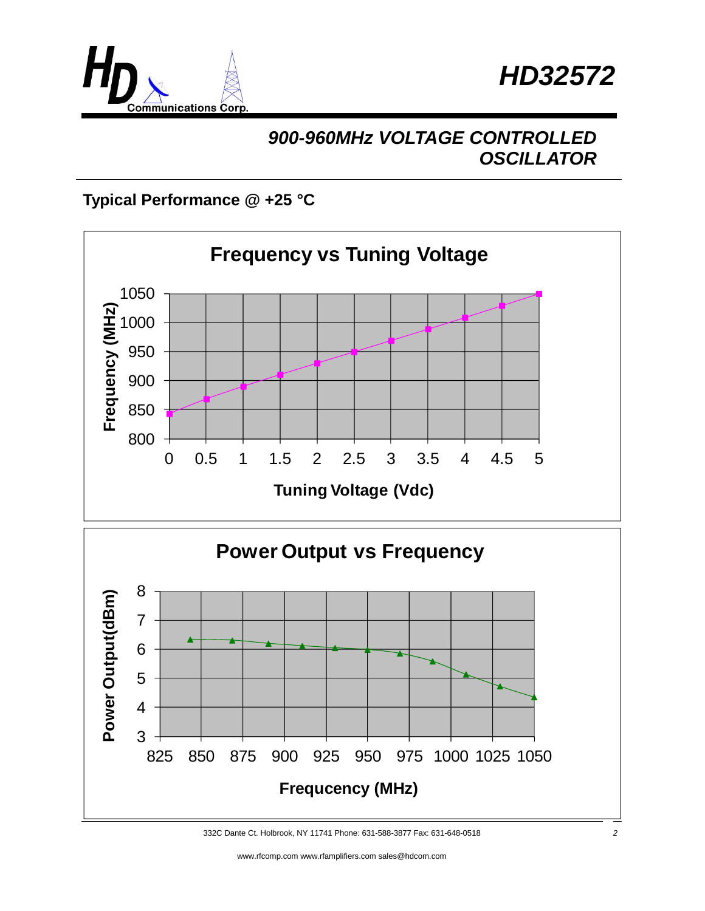



## *900-960MHz VOLTAGE CONTROLLED OSCILLATOR*

### **Typical Performance @ +25 °C**



<sup>332</sup>C Dante Ct. Holbrook, NY 11741 Phone: 631-588-3877 Fax: 631-648-0518